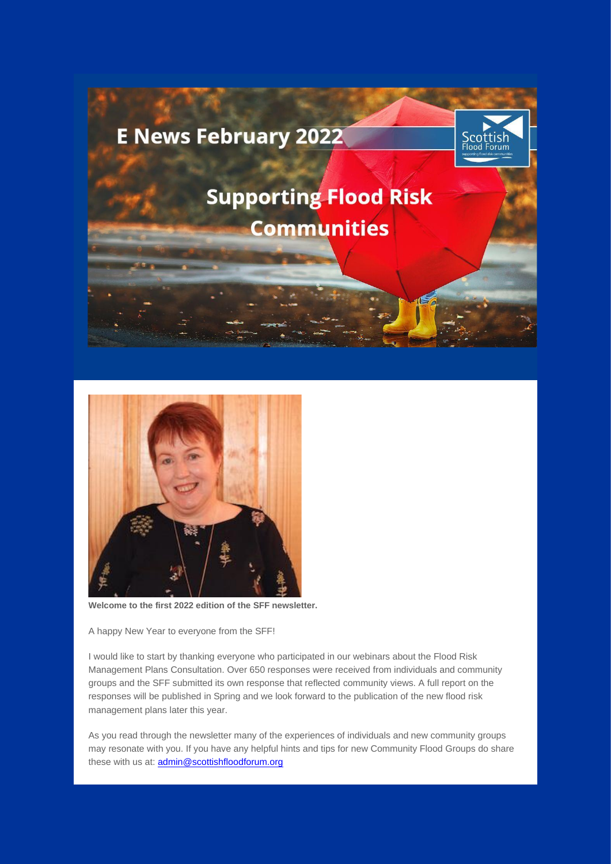



**Welcome to the first 2022 edition of the SFF newsletter.** 

A happy New Year to everyone from the SFF!

I would like to start by thanking everyone who participated in our webinars about the Flood Risk Management Plans Consultation. Over 650 responses were received from individuals and community groups and the SFF submitted its own response that reflected community views. A full report on the responses will be published in Spring and we look forward to the publication of the new flood risk management plans later this year.

As you read through the newsletter many of the experiences of individuals and new community groups may resonate with you. If you have any helpful hints and tips for new Community Flood Groups do share these with us at: **admin@scottishfloodforum.org**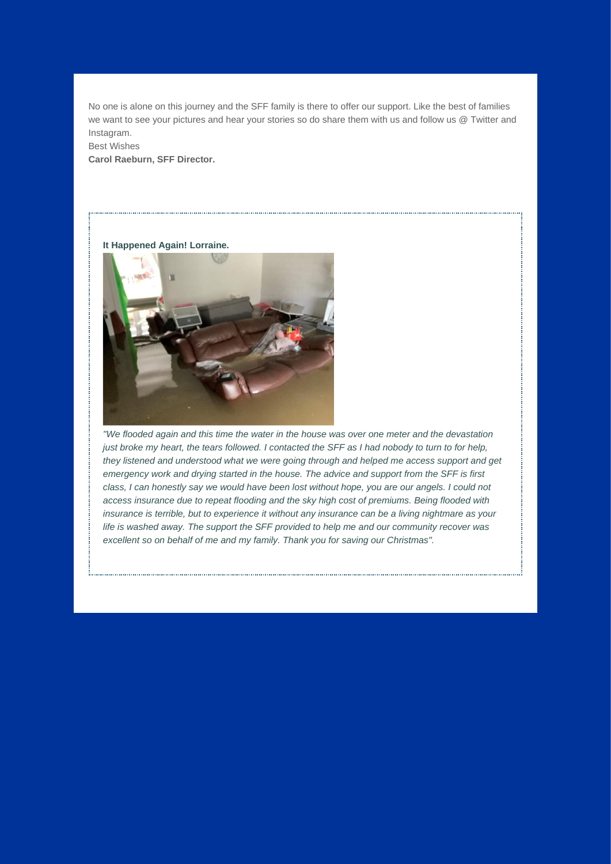No one is alone on this journey and the SFF family is there to offer our support. Like the best of families we want to see your pictures and hear your stories so do share them with us and follow us @ Twitter and Instagram.

Best Wishes **Carol Raeburn, SFF Director.** 





*"We flooded again and this time the water in the house was over one meter and the devastation just broke my heart, the tears followed. I contacted the SFF as I had nobody to turn to for help, they listened and understood what we were going through and helped me access support and get emergency work and drying started in the house. The advice and support from the SFF is first class, I can honestly say we would have been lost without hope, you are our angels. I could not access insurance due to repeat flooding and the sky high cost of premiums. Being flooded with insurance is terrible, but to experience it without any insurance can be a living nightmare as your life is washed away. The support the SFF provided to help me and our community recover was excellent so on behalf of me and my family. Thank you for saving our Christmas".*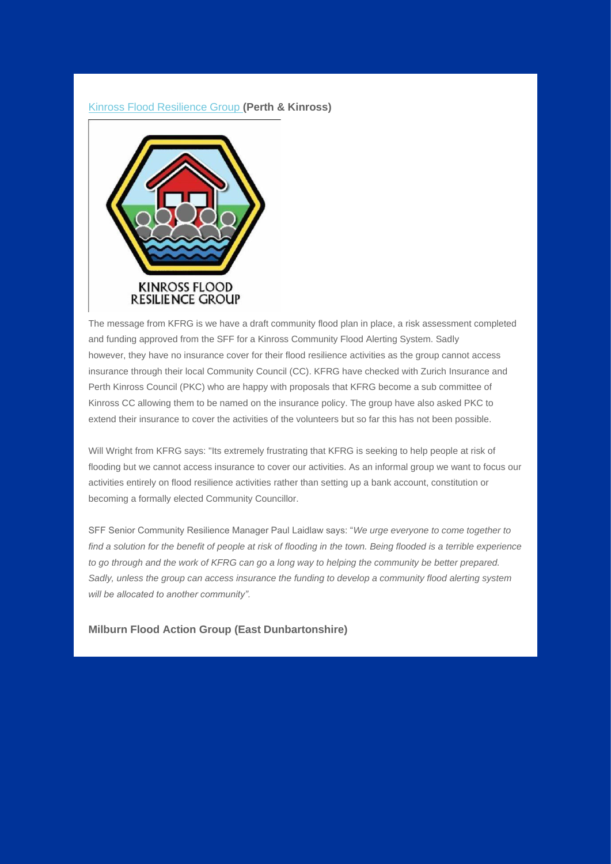## [Kinross Flood Resilience Group](https://eur02.safelinks.protection.outlook.com/?url=https%3A%2F%2Fscottishfloodforum.us10.list-manage.com%2Ftrack%2Fclick%3Fu%3D334760f1915675f72fd051e89%26id%3Dde22661d06%26e%3Dc3b1742a94&data=04%7C01%7CRosemary.MacKinnon%40highland.gov.uk%7C527104c499d74101ede708d9ef189601%7C89f0b56e6d164fe89dba176fa940f7c9%7C0%7C0%7C637803711133366708%7CUnknown%7CTWFpbGZsb3d8eyJWIjoiMC4wLjAwMDAiLCJQIjoiV2luMzIiLCJBTiI6Ik1haWwiLCJXVCI6Mn0%3D%7C3000&sdata=R%2BhXlve6XjLe2e9p1lZYJDOMP5PWfgA9Mtrz6vy0FrA%3D&reserved=0) **(Perth & Kinross)**



The message from KFRG is we have a draft community flood plan in place, a risk assessment completed and funding approved from the SFF for a Kinross Community Flood Alerting System. Sadly however, they have no insurance cover for their flood resilience activities as the group cannot access insurance through their local Community Council (CC). KFRG have checked with Zurich Insurance and Perth Kinross Council (PKC) who are happy with proposals that KFRG become a sub committee of Kinross CC allowing them to be named on the insurance policy. The group have also asked PKC to extend their insurance to cover the activities of the volunteers but so far this has not been possible.

Will Wright from KFRG says: "Its extremely frustrating that KFRG is seeking to help people at risk of flooding but we cannot access insurance to cover our activities. As an informal group we want to focus our activities entirely on flood resilience activities rather than setting up a bank account, constitution or becoming a formally elected Community Councillor.

SFF Senior Community Resilience Manager Paul Laidlaw says: "*We urge everyone to come together to find a solution for the benefit of people at risk of flooding in the town. Being flooded is a terrible experience to go through and the work of KFRG can go a long way to helping the community be better prepared. Sadly, unless the group can access insurance the funding to develop a community flood alerting system will be allocated to another community".*

**Milburn Flood Action Group (East Dunbartonshire)**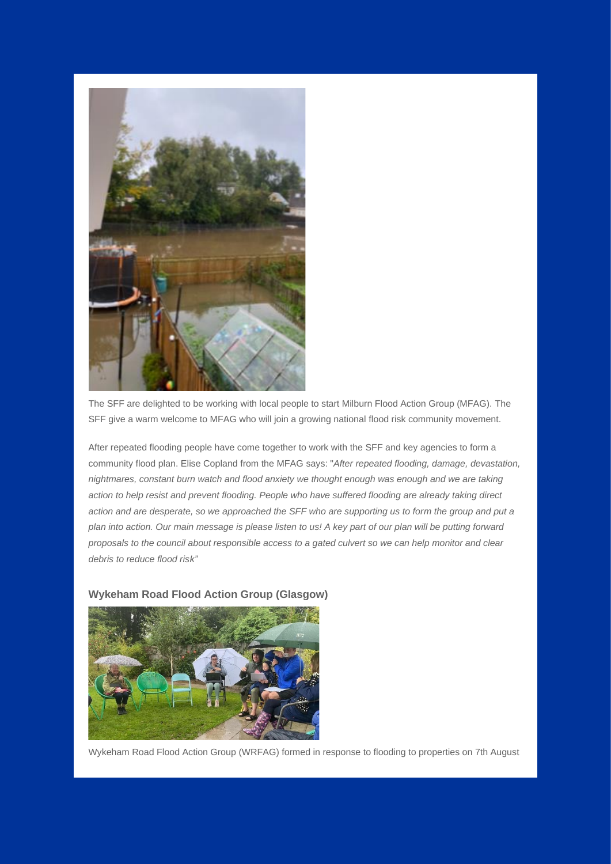

The SFF are delighted to be working with local people to start Milburn Flood Action Group (MFAG). The SFF give a warm welcome to MFAG who will join a growing national flood risk community movement.

After repeated flooding people have come together to work with the SFF and key agencies to form a community flood plan. Elise Copland from the MFAG says: "*After repeated flooding, damage, devastation, nightmares, constant burn watch and flood anxiety we thought enough was enough and we are taking action to help resist and prevent flooding. People who have suffered flooding are already taking direct action and are desperate, so we approached the SFF who are supporting us to form the group and put a plan into action. Our main message is please listen to us! A key part of our plan will be putting forward proposals to the council about responsible access to a gated culvert so we can help monitor and clear debris to reduce flood risk"*

## **Wykeham Road Flood Action Group (Glasgow)**



Wykeham Road Flood Action Group (WRFAG) formed in response to flooding to properties on 7th August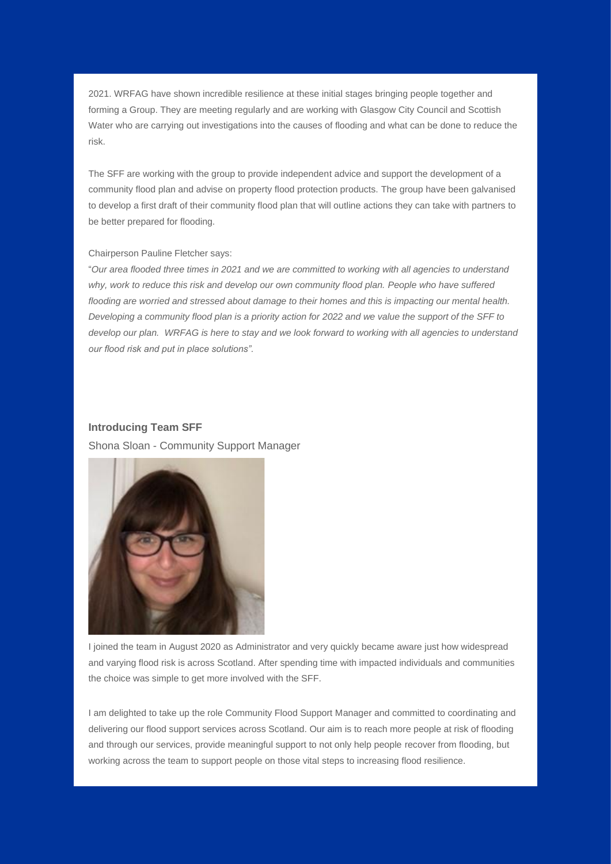2021. WRFAG have shown incredible resilience at these initial stages bringing people together and forming a Group. They are meeting regularly and are working with Glasgow City Council and Scottish Water who are carrying out investigations into the causes of flooding and what can be done to reduce the risk.

The SFF are working with the group to provide independent advice and support the development of a community flood plan and advise on property flood protection products. The group have been galvanised to develop a first draft of their community flood plan that will outline actions they can take with partners to be better prepared for flooding.

## Chairperson Pauline Fletcher says:

"*Our area flooded three times in 2021 and we are committed to working with all agencies to understand why, work to reduce this risk and develop our own community flood plan. People who have suffered flooding are worried and stressed about damage to their homes and this is impacting our mental health. Developing a community flood plan is a priority action for 2022 and we value the support of the SFF to develop our plan. WRFAG is here to stay and we look forward to working with all agencies to understand our flood risk and put in place solutions".* 

## **Introducing Team SFF**

Shona Sloan - Community Support Manager



I joined the team in August 2020 as Administrator and very quickly became aware just how widespread and varying flood risk is across Scotland. After spending time with impacted individuals and communities the choice was simple to get more involved with the SFF.

I am delighted to take up the role Community Flood Support Manager and committed to coordinating and delivering our flood support services across Scotland. Our aim is to reach more people at risk of flooding and through our services, provide meaningful support to not only help people recover from flooding, but working across the team to support people on those vital steps to increasing flood resilience.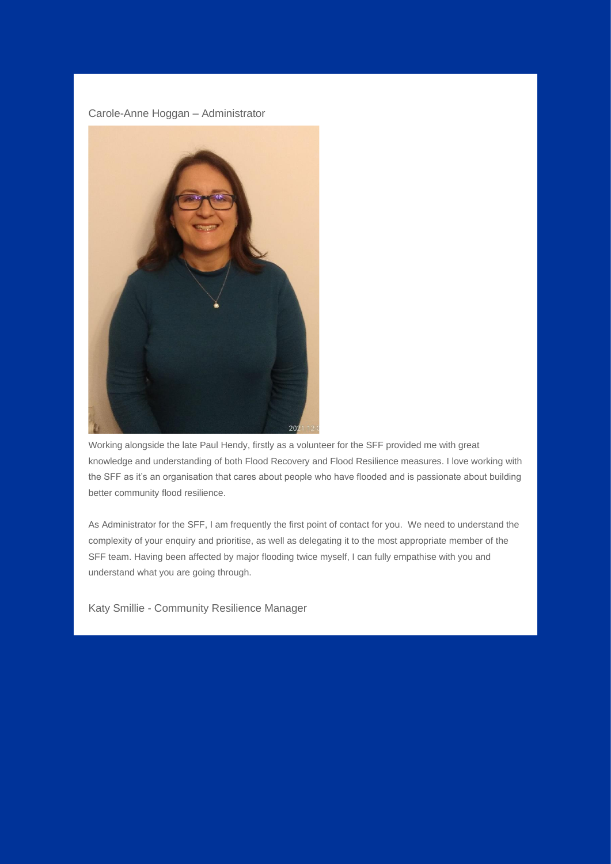Carole-Anne Hoggan – Administrator



Working alongside the late Paul Hendy, firstly as a volunteer for the SFF provided me with great knowledge and understanding of both Flood Recovery and Flood Resilience measures. I love working with the SFF as it's an organisation that cares about people who have flooded and is passionate about building better community flood resilience.

As Administrator for the SFF, I am frequently the first point of contact for you. We need to understand the complexity of your enquiry and prioritise, as well as delegating it to the most appropriate member of the SFF team. Having been affected by major flooding twice myself, I can fully empathise with you and understand what you are going through.

Katy Smillie - Community Resilience Manager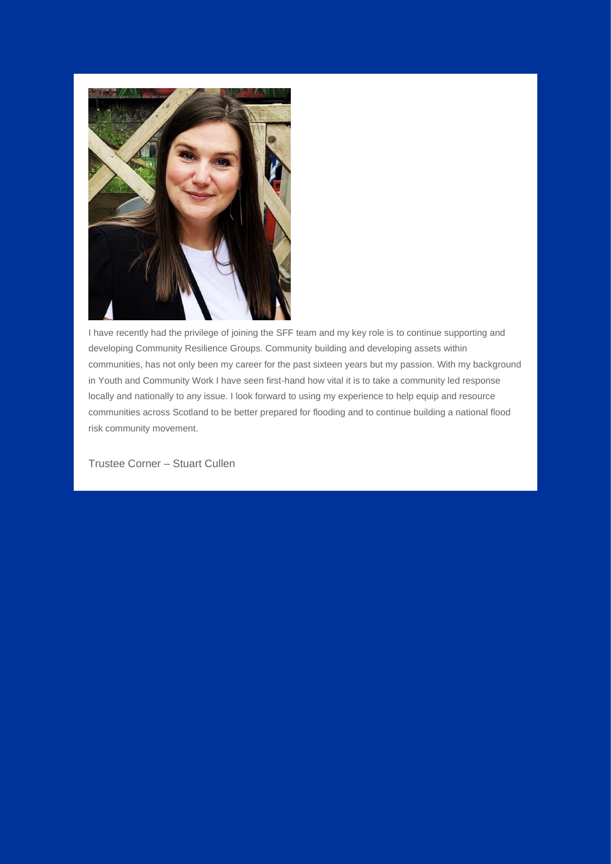

I have recently had the privilege of joining the SFF team and my key role is to continue supporting and developing Community Resilience Groups. Community building and developing assets within communities, has not only been my career for the past sixteen years but my passion. With my background in Youth and Community Work I have seen first-hand how vital it is to take a community led response locally and nationally to any issue. I look forward to using my experience to help equip and resource communities across Scotland to be better prepared for flooding and to continue building a national flood risk community movement.

Trustee Corner – Stuart Cullen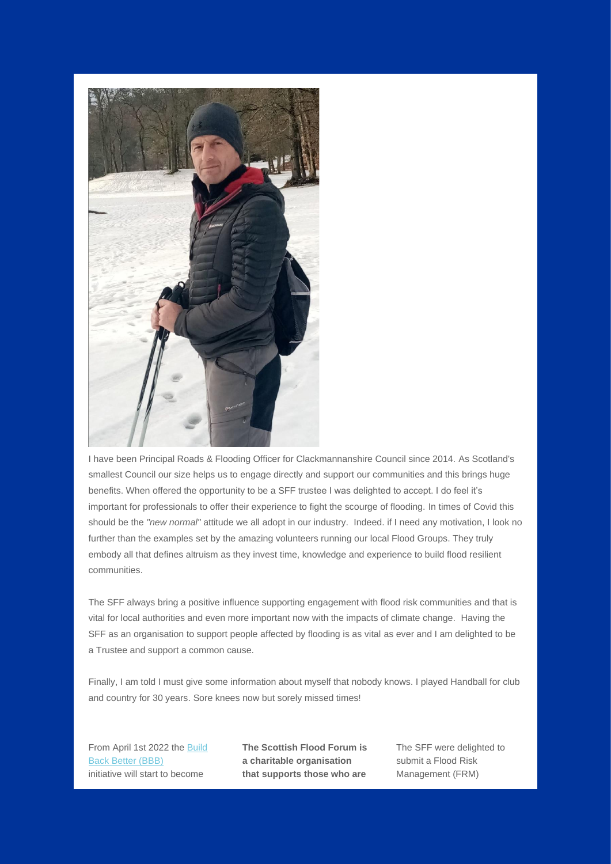

I have been Principal Roads & Flooding Officer for Clackmannanshire Council since 2014. As Scotland's smallest Council our size helps us to engage directly and support our communities and this brings huge benefits. When offered the opportunity to be a SFF trustee I was delighted to accept. I do feel it's important for professionals to offer their experience to fight the scourge of flooding. In times of Covid this should be the *"new normal"* attitude we all adopt in our industry. Indeed. if I need any motivation, I look no further than the examples set by the amazing volunteers running our local Flood Groups. They truly embody all that defines altruism as they invest time, knowledge and experience to build flood resilient communities.

The SFF always bring a positive influence supporting engagement with flood risk communities and that is vital for local authorities and even more important now with the impacts of climate change. Having the SFF as an organisation to support people affected by flooding is as vital as ever and I am delighted to be a Trustee and support a common cause.

Finally, I am told I must give some information about myself that nobody knows. I played Handball for club and country for 30 years. Sore knees now but sorely missed times!

From April 1st 2022 the [Build](https://eur02.safelinks.protection.outlook.com/?url=https%3A%2F%2Fscottishfloodforum.us10.list-manage.com%2Ftrack%2Fclick%3Fu%3D334760f1915675f72fd051e89%26id%3Dff66417404%26e%3Dc3b1742a94&data=04%7C01%7CRosemary.MacKinnon%40highland.gov.uk%7C527104c499d74101ede708d9ef189601%7C89f0b56e6d164fe89dba176fa940f7c9%7C0%7C0%7C637803711133366708%7CUnknown%7CTWFpbGZsb3d8eyJWIjoiMC4wLjAwMDAiLCJQIjoiV2luMzIiLCJBTiI6Ik1haWwiLCJXVCI6Mn0%3D%7C3000&sdata=cUlzksJUyiEKl%2FDo7Y7oQwp5xki7KuuPqq1dLJtNnW0%3D&reserved=0)  [Back Better \(BBB\)](https://eur02.safelinks.protection.outlook.com/?url=https%3A%2F%2Fscottishfloodforum.us10.list-manage.com%2Ftrack%2Fclick%3Fu%3D334760f1915675f72fd051e89%26id%3Dff66417404%26e%3Dc3b1742a94&data=04%7C01%7CRosemary.MacKinnon%40highland.gov.uk%7C527104c499d74101ede708d9ef189601%7C89f0b56e6d164fe89dba176fa940f7c9%7C0%7C0%7C637803711133366708%7CUnknown%7CTWFpbGZsb3d8eyJWIjoiMC4wLjAwMDAiLCJQIjoiV2luMzIiLCJBTiI6Ik1haWwiLCJXVCI6Mn0%3D%7C3000&sdata=cUlzksJUyiEKl%2FDo7Y7oQwp5xki7KuuPqq1dLJtNnW0%3D&reserved=0) initiative will start to become

**The Scottish Flood Forum is a charitable organisation that supports those who are** 

The SFF were delighted to submit a Flood Risk Management (FRM)